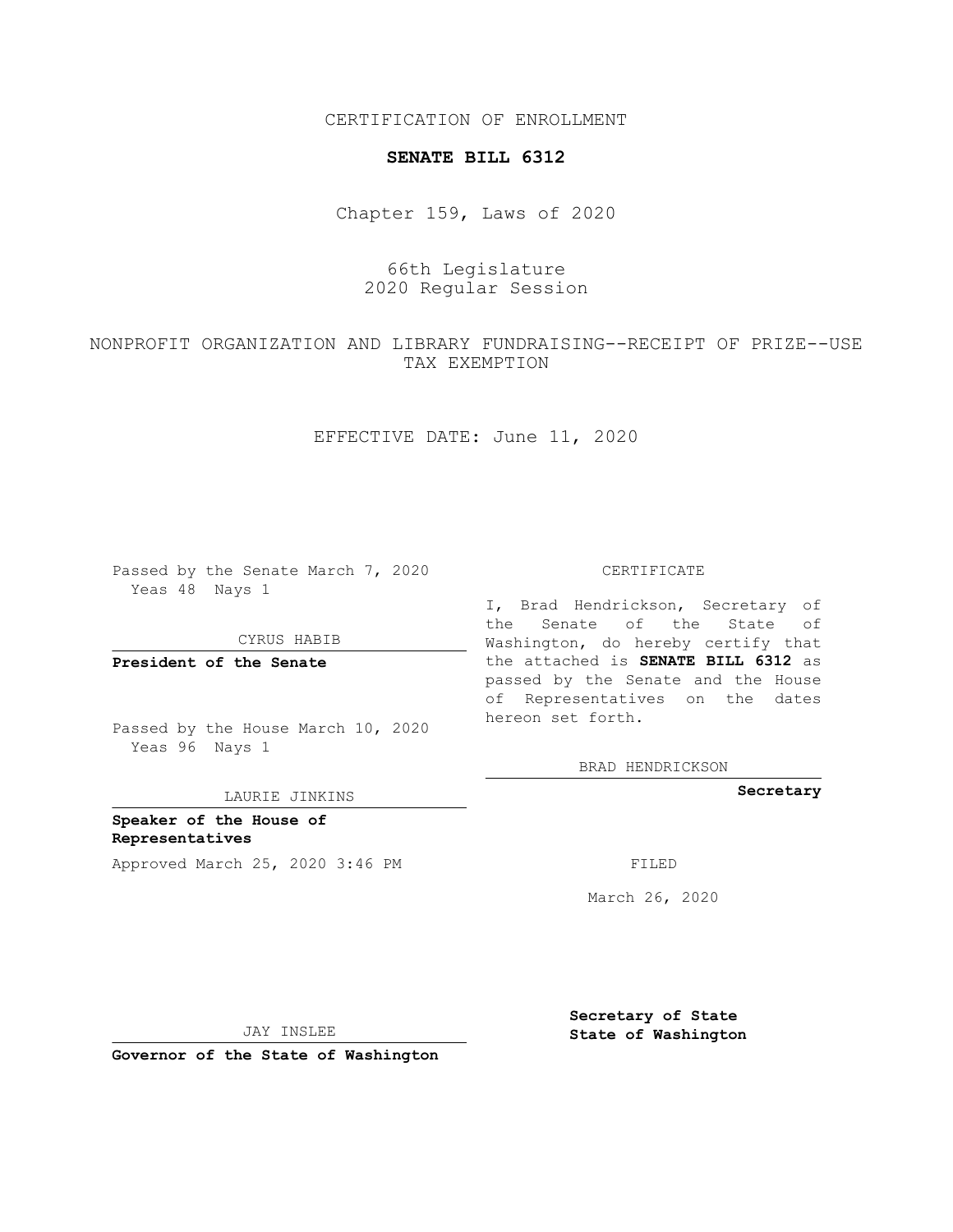CERTIFICATION OF ENROLLMENT

## **SENATE BILL 6312**

Chapter 159, Laws of 2020

## 66th Legislature 2020 Regular Session

NONPROFIT ORGANIZATION AND LIBRARY FUNDRAISING--RECEIPT OF PRIZE--USE TAX EXEMPTION

EFFECTIVE DATE: June 11, 2020

Passed by the Senate March 7, 2020 Yeas 48 Nays 1

CYRUS HABIB

**President of the Senate**

Passed by the House March 10, 2020 Yeas 96 Nays 1

LAURIE JINKINS

**Speaker of the House of Representatives** Approved March 25, 2020 3:46 PM

CERTIFICATE

I, Brad Hendrickson, Secretary of the Senate of the State of Washington, do hereby certify that the attached is **SENATE BILL 6312** as passed by the Senate and the House of Representatives on the dates hereon set forth.

BRAD HENDRICKSON

**Secretary**

March 26, 2020

JAY INSLEE

**Governor of the State of Washington**

**Secretary of State State of Washington**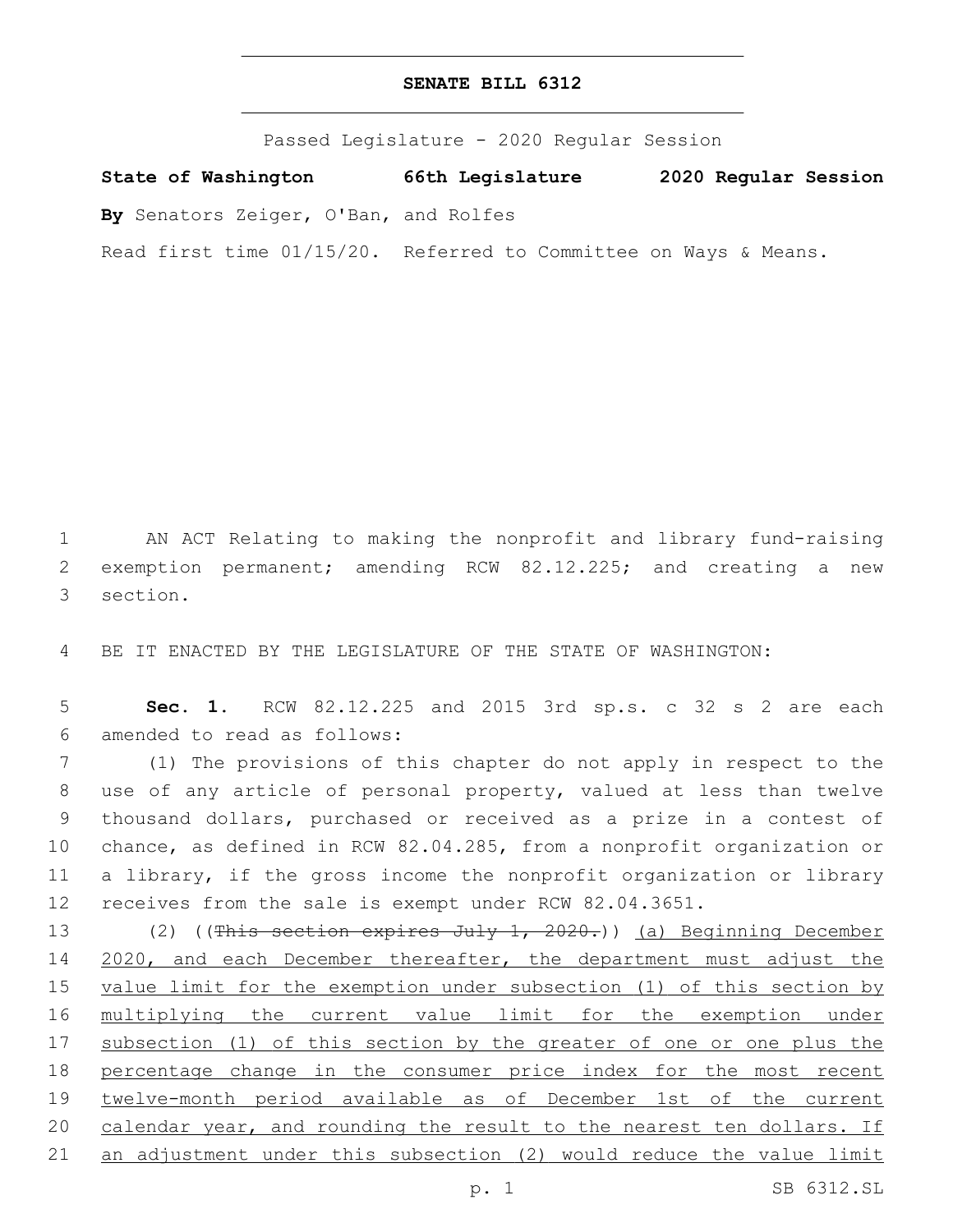## **SENATE BILL 6312**

Passed Legislature - 2020 Regular Session

**State of Washington 66th Legislature 2020 Regular Session**

**By** Senators Zeiger, O'Ban, and Rolfes

Read first time 01/15/20. Referred to Committee on Ways & Means.

1 AN ACT Relating to making the nonprofit and library fund-raising 2 exemption permanent; amending RCW 82.12.225; and creating a new 3 section.

4 BE IT ENACTED BY THE LEGISLATURE OF THE STATE OF WASHINGTON:

5 **Sec. 1.** RCW 82.12.225 and 2015 3rd sp.s. c 32 s 2 are each amended to read as follows:6

 (1) The provisions of this chapter do not apply in respect to the use of any article of personal property, valued at less than twelve thousand dollars, purchased or received as a prize in a contest of chance, as defined in RCW 82.04.285, from a nonprofit organization or a library, if the gross income the nonprofit organization or library receives from the sale is exempt under RCW 82.04.3651.

13 (2) ((This section expires July 1, 2020.)) (a) Beginning December 14 2020, and each December thereafter, the department must adjust the 15 value limit for the exemption under subsection (1) of this section by 16 multiplying the current value limit for the exemption under 17 subsection (1) of this section by the greater of one or one plus the 18 percentage change in the consumer price index for the most recent 19 twelve-month period available as of December 1st of the current 20 calendar year, and rounding the result to the nearest ten dollars. If 21 an adjustment under this subsection (2) would reduce the value limit